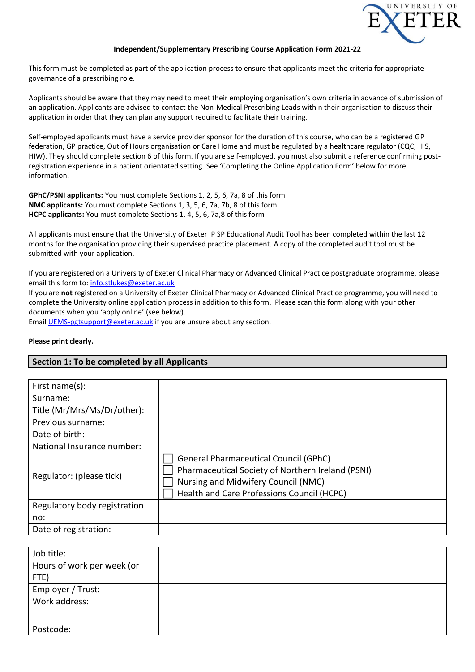

#### **Independent/Supplementary Prescribing Course Application Form 2021-22**

This form must be completed as part of the application process to ensure that applicants meet the criteria for appropriate governance of a prescribing role.

Applicants should be aware that they may need to meet their employing organisation's own criteria in advance of submission of an application. Applicants are advised to contact the Non-Medical Prescribing Leads within their organisation to discuss their application in order that they can plan any support required to facilitate their training.

Self-employed applicants must have a service provider sponsor for the duration of this course, who can be a registered GP federation, GP practice, Out of Hours organisation or Care Home and must be regulated by a healthcare regulator (CQC, HIS, HIW). They should complete section 6 of this form. If you are self-employed, you must also submit a reference confirming postregistration experience in a patient orientated setting. See 'Completing the Online Application Form' below for more information.

**GPhC/PSNI applicants:** You must complete Sections 1, 2, 5, 6, 7a, 8 of this form **NMC applicants:** You must complete Sections 1, 3, 5, 6, 7a, 7b, 8 of this form **HCPC applicants:** You must complete Sections 1, 4, 5, 6, 7a,8 of this form

All applicants must ensure that the University of Exeter IP SP Educational Audit Tool has been completed within the last 12 months for the organisation providing their supervised practice placement. A copy of the completed audit tool must be submitted with your application.

If you are registered on a University of Exeter Clinical Pharmacy or Advanced Clinical Practice postgraduate programme, please email this form to: [info.stlukes@exeter.ac.uk](mailto:info.stlukes@exeter.ac.uk)

If you are **not** registered on a University of Exeter Clinical Pharmacy or Advanced Clinical Practice programme, you will need to complete the University online application process in addition to this form. Please scan this form along with your other documents when you 'apply online' (see below).

Email [UEMS-pgtsupport@exeter.ac.uk](mailto:UEMS-pgtsupport@exeter.ac.uk) if you are unsure about any section.

#### **Please print clearly.**

### **Section 1: To be completed by all Applicants**

| First name $(s)$ :           |                                                                                                                                                                                        |
|------------------------------|----------------------------------------------------------------------------------------------------------------------------------------------------------------------------------------|
| Surname:                     |                                                                                                                                                                                        |
| Title (Mr/Mrs/Ms/Dr/other):  |                                                                                                                                                                                        |
| Previous surname:            |                                                                                                                                                                                        |
| Date of birth:               |                                                                                                                                                                                        |
| National Insurance number:   |                                                                                                                                                                                        |
| Regulator: (please tick)     | <b>General Pharmaceutical Council (GPhC)</b><br>Pharmaceutical Society of Northern Ireland (PSNI)<br>Nursing and Midwifery Council (NMC)<br>Health and Care Professions Council (HCPC) |
| Regulatory body registration |                                                                                                                                                                                        |
| no:                          |                                                                                                                                                                                        |
| Date of registration:        |                                                                                                                                                                                        |

| Job title:                 |  |
|----------------------------|--|
| Hours of work per week (or |  |
| FTE)                       |  |
| Employer / Trust:          |  |
| Work address:              |  |
|                            |  |
| Postcode:                  |  |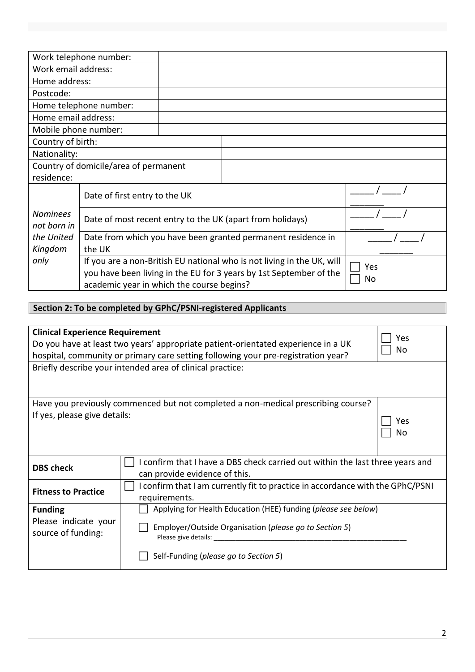|                                | Work telephone number:                    |  |                                                                                                                                              |           |
|--------------------------------|-------------------------------------------|--|----------------------------------------------------------------------------------------------------------------------------------------------|-----------|
| Work email address:            |                                           |  |                                                                                                                                              |           |
| Home address:                  |                                           |  |                                                                                                                                              |           |
| Postcode:                      |                                           |  |                                                                                                                                              |           |
|                                | Home telephone number:                    |  |                                                                                                                                              |           |
| Home email address:            |                                           |  |                                                                                                                                              |           |
| Mobile phone number:           |                                           |  |                                                                                                                                              |           |
| Country of birth:              |                                           |  |                                                                                                                                              |           |
| Nationality:                   |                                           |  |                                                                                                                                              |           |
|                                | Country of domicile/area of permanent     |  |                                                                                                                                              |           |
| residence:                     |                                           |  |                                                                                                                                              |           |
|                                | Date of first entry to the UK             |  |                                                                                                                                              |           |
| <b>Nominees</b><br>not born in |                                           |  | Date of most recent entry to the UK (apart from holidays)                                                                                    |           |
| the United<br>Kingdom          | the UK                                    |  | Date from which you have been granted permanent residence in                                                                                 |           |
| only                           | academic year in which the course begins? |  | If you are a non-British EU national who is not living in the UK, will<br>you have been living in the EU for 3 years by 1st September of the | Yes<br>No |

# **Section 2: To be completed by GPhC/PSNI-registered Applicants**

| <b>Clinical Experience Requirement</b><br>Yes |                                                                                                                                                                              |  |  |  |  |
|-----------------------------------------------|------------------------------------------------------------------------------------------------------------------------------------------------------------------------------|--|--|--|--|
|                                               | Do you have at least two years' appropriate patient-orientated experience in a UK<br>No<br>hospital, community or primary care setting following your pre-registration year? |  |  |  |  |
|                                               | Briefly describe your intended area of clinical practice:                                                                                                                    |  |  |  |  |
|                                               | Have you previously commenced but not completed a non-medical prescribing course?                                                                                            |  |  |  |  |
| If yes, please give details:                  | Yes<br>No                                                                                                                                                                    |  |  |  |  |
| <b>DBS check</b>                              | confirm that I have a DBS check carried out within the last three years and<br>can provide evidence of this.                                                                 |  |  |  |  |
| <b>Fitness to Practice</b>                    | I confirm that I am currently fit to practice in accordance with the GPhC/PSNI<br>requirements.                                                                              |  |  |  |  |
| <b>Funding</b>                                | Applying for Health Education (HEE) funding (please see below)                                                                                                               |  |  |  |  |
| Please indicate your<br>source of funding:    | Employer/Outside Organisation (please go to Section 5)<br>Please give details: ____________                                                                                  |  |  |  |  |
|                                               | Self-Funding (please go to Section 5)                                                                                                                                        |  |  |  |  |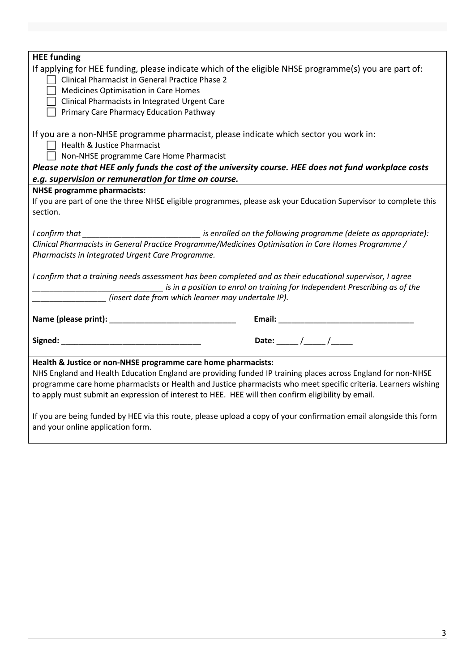| <b>HEE</b> funding                                                                                                                                                                                                                                                                    |  |  |  |
|---------------------------------------------------------------------------------------------------------------------------------------------------------------------------------------------------------------------------------------------------------------------------------------|--|--|--|
| If applying for HEE funding, please indicate which of the eligible NHSE programme(s) you are part of:<br>Clinical Pharmacist in General Practice Phase 2                                                                                                                              |  |  |  |
| <b>Medicines Optimisation in Care Homes</b>                                                                                                                                                                                                                                           |  |  |  |
| Clinical Pharmacists in Integrated Urgent Care                                                                                                                                                                                                                                        |  |  |  |
| Primary Care Pharmacy Education Pathway                                                                                                                                                                                                                                               |  |  |  |
| If you are a non-NHSE programme pharmacist, please indicate which sector you work in:<br>$\Box$ Health & Justice Pharmacist<br>$\Box$ Non-NHSE programme Care Home Pharmacist<br>Please note that HEE only funds the cost of the university course. HEE does not fund workplace costs |  |  |  |
| e.g. supervision or remuneration for time on course.                                                                                                                                                                                                                                  |  |  |  |
| <b>NHSE programme pharmacists:</b>                                                                                                                                                                                                                                                    |  |  |  |
| If you are part of one the three NHSE eligible programmes, please ask your Education Supervisor to complete this                                                                                                                                                                      |  |  |  |
| section.                                                                                                                                                                                                                                                                              |  |  |  |
|                                                                                                                                                                                                                                                                                       |  |  |  |
| I confirm that _______________________________ is enrolled on the following programme (delete as appropriate):                                                                                                                                                                        |  |  |  |
| Clinical Pharmacists in General Practice Programme/Medicines Optimisation in Care Homes Programme /                                                                                                                                                                                   |  |  |  |
| Pharmacists in Integrated Urgent Care Programme.                                                                                                                                                                                                                                      |  |  |  |
| I confirm that a training needs assessment has been completed and as their educational supervisor, I agree<br>is in a position to enrol on training for Independent Prescribing as of the                                                                                             |  |  |  |
| (insert date from which learner may undertake IP).                                                                                                                                                                                                                                    |  |  |  |
|                                                                                                                                                                                                                                                                                       |  |  |  |
|                                                                                                                                                                                                                                                                                       |  |  |  |
| Date: $/$ /                                                                                                                                                                                                                                                                           |  |  |  |
| Health & Justice or non-NHSE programme care home pharmacists:                                                                                                                                                                                                                         |  |  |  |
| NHS England and Health Education England are providing funded IP training places across England for non-NHSE                                                                                                                                                                          |  |  |  |
| programme care home pharmacists or Health and Justice pharmacists who meet specific criteria. Learners wishing                                                                                                                                                                        |  |  |  |
| to apply must submit an expression of interest to HEE. HEE will then confirm eligibility by email.                                                                                                                                                                                    |  |  |  |
| If you are being funded by HEE via this route, please upload a copy of your confirmation email alongside this form<br>and your online application form.                                                                                                                               |  |  |  |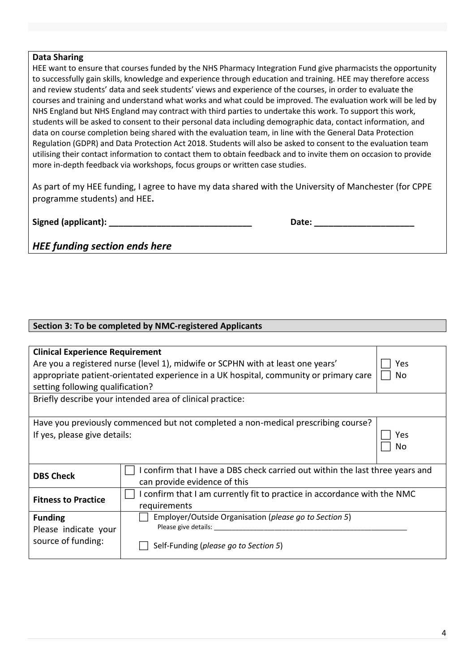# **Data Sharing**

HEE want to ensure that courses funded by the NHS Pharmacy Integration Fund give pharmacists the opportunity to successfully gain skills, knowledge and experience through education and training. HEE may therefore access and review students' data and seek students' views and experience of the courses, in order to evaluate the courses and training and understand what works and what could be improved. The evaluation work will be led by NHS England but NHS England may contract with third parties to undertake this work. To support this work, students will be asked to consent to their personal data including demographic data, contact information, and data on course completion being shared with the evaluation team, in line with the General Data Protection Regulation (GDPR) and Data Protection Act 2018. Students will also be asked to consent to the evaluation team utilising their contact information to contact them to obtain feedback and to invite them on occasion to provide more in-depth feedback via workshops, focus groups or written case studies.

As part of my HEE funding, I agree to have my data shared with the University of Manchester (for CPPE programme students) and HEE**.**

**Signed (applicant): \_\_\_\_\_\_\_\_\_\_\_\_\_\_\_\_\_\_\_\_\_\_\_\_\_\_\_\_\_\_ Date: \_\_\_\_\_\_\_\_\_\_\_\_\_\_\_\_\_\_\_\_\_**

| )ate: |  |  |
|-------|--|--|
|       |  |  |

*HEE funding section ends here*

# **Section 3: To be completed by NMC-registered Applicants**

| <b>Clinical Experience Requirement</b>                                                 |                                                                                       |     |  |  |
|----------------------------------------------------------------------------------------|---------------------------------------------------------------------------------------|-----|--|--|
| Are you a registered nurse (level 1), midwife or SCPHN with at least one years'<br>Yes |                                                                                       |     |  |  |
|                                                                                        | appropriate patient-orientated experience in a UK hospital, community or primary care | No  |  |  |
| setting following qualification?                                                       |                                                                                       |     |  |  |
|                                                                                        | Briefly describe your intended area of clinical practice:                             |     |  |  |
|                                                                                        |                                                                                       |     |  |  |
|                                                                                        | Have you previously commenced but not completed a non-medical prescribing course?     |     |  |  |
| If yes, please give details:                                                           |                                                                                       | Yes |  |  |
|                                                                                        |                                                                                       | No  |  |  |
|                                                                                        |                                                                                       |     |  |  |
| <b>DBS Check</b>                                                                       | I confirm that I have a DBS check carried out within the last three years and         |     |  |  |
|                                                                                        | can provide evidence of this                                                          |     |  |  |
| <b>Fitness to Practice</b>                                                             | I confirm that I am currently fit to practice in accordance with the NMC              |     |  |  |
|                                                                                        | requirements                                                                          |     |  |  |
| <b>Funding</b>                                                                         | Employer/Outside Organisation (please go to Section 5)                                |     |  |  |
| Please indicate your                                                                   | Please give details:                                                                  |     |  |  |
| source of funding:                                                                     | Self-Funding (please go to Section 5)                                                 |     |  |  |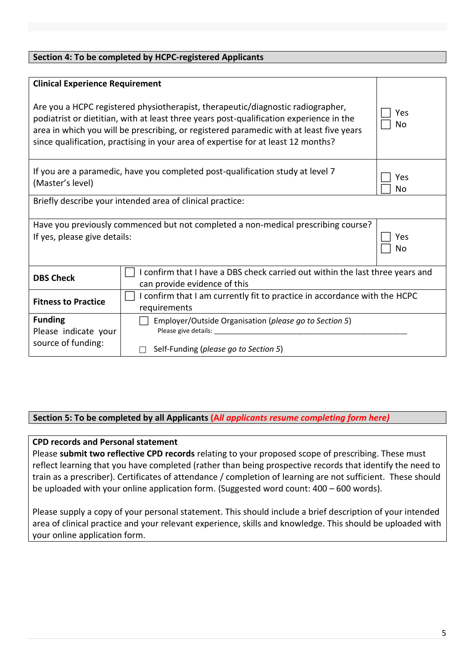| Section 4: To be completed by HCPC-registered Applicants                                                                                                                                                                                                                                                                                                   |                                                                                                               |  |  |  |
|------------------------------------------------------------------------------------------------------------------------------------------------------------------------------------------------------------------------------------------------------------------------------------------------------------------------------------------------------------|---------------------------------------------------------------------------------------------------------------|--|--|--|
|                                                                                                                                                                                                                                                                                                                                                            |                                                                                                               |  |  |  |
| <b>Clinical Experience Requirement</b>                                                                                                                                                                                                                                                                                                                     |                                                                                                               |  |  |  |
| Are you a HCPC registered physiotherapist, therapeutic/diagnostic radiographer,<br>podiatrist or dietitian, with at least three years post-qualification experience in the<br>area in which you will be prescribing, or registered paramedic with at least five years<br>since qualification, practising in your area of expertise for at least 12 months? | Yes<br>No                                                                                                     |  |  |  |
| (Master's level)                                                                                                                                                                                                                                                                                                                                           | If you are a paramedic, have you completed post-qualification study at level 7<br>Yes<br>No                   |  |  |  |
|                                                                                                                                                                                                                                                                                                                                                            | Briefly describe your intended area of clinical practice:                                                     |  |  |  |
| Have you previously commenced but not completed a non-medical prescribing course?<br>If yes, please give details:<br>Yes<br>No                                                                                                                                                                                                                             |                                                                                                               |  |  |  |
| <b>DBS Check</b>                                                                                                                                                                                                                                                                                                                                           | I confirm that I have a DBS check carried out within the last three years and<br>can provide evidence of this |  |  |  |
| <b>Fitness to Practice</b>                                                                                                                                                                                                                                                                                                                                 | I confirm that I am currently fit to practice in accordance with the HCPC<br>requirements                     |  |  |  |
| <b>Funding</b><br>Employer/Outside Organisation (please go to Section 5)<br>Please give details:<br>Please indicate your                                                                                                                                                                                                                                   |                                                                                                               |  |  |  |
| source of funding:<br>Self-Funding (please go to Section 5)                                                                                                                                                                                                                                                                                                |                                                                                                               |  |  |  |

# **Section 5: To be completed by all Applicants (A***ll applicants resume completing form here)*

# **CPD records and Personal statement**

Please **submit two reflective CPD records** relating to your proposed scope of prescribing. These must reflect learning that you have completed (rather than being prospective records that identify the need to train as a prescriber). Certificates of attendance / completion of learning are not sufficient. These should be uploaded with your online application form. (Suggested word count: 400 – 600 words).

Please supply a copy of your personal statement. This should include a brief description of your intended area of clinical practice and your relevant experience, skills and knowledge. This should be uploaded with your online application form.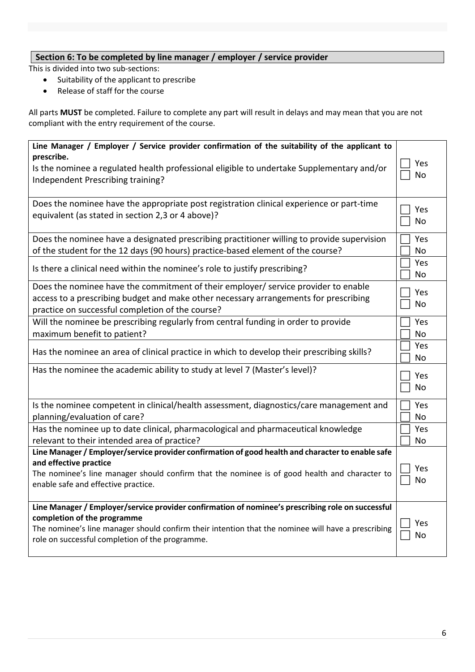# **Section 6: To be completed by line manager / employer / service provider**

This is divided into two sub-sections:

- Suitability of the applicant to prescribe
- Release of staff for the course

All parts **MUST** be completed. Failure to complete any part will result in delays and may mean that you are not compliant with the entry requirement of the course.

| Line Manager / Employer / Service provider confirmation of the suitability of the applicant to                                                                                                                                                                                            |            |
|-------------------------------------------------------------------------------------------------------------------------------------------------------------------------------------------------------------------------------------------------------------------------------------------|------------|
| prescribe.<br>Is the nominee a regulated health professional eligible to undertake Supplementary and/or<br>Independent Prescribing training?                                                                                                                                              | Yes<br>No  |
| Does the nominee have the appropriate post registration clinical experience or part-time<br>equivalent (as stated in section 2,3 or 4 above)?                                                                                                                                             | Yes<br>No  |
| Does the nominee have a designated prescribing practitioner willing to provide supervision<br>of the student for the 12 days (90 hours) practice-based element of the course?                                                                                                             | Yes<br>No  |
| Is there a clinical need within the nominee's role to justify prescribing?                                                                                                                                                                                                                | Yes<br>No  |
| Does the nominee have the commitment of their employer/ service provider to enable<br>access to a prescribing budget and make other necessary arrangements for prescribing<br>practice on successful completion of the course?                                                            | Yes<br>No  |
| Will the nominee be prescribing regularly from central funding in order to provide<br>maximum benefit to patient?                                                                                                                                                                         | Yes<br>No  |
| Has the nominee an area of clinical practice in which to develop their prescribing skills?                                                                                                                                                                                                | Yes<br>No. |
| Has the nominee the academic ability to study at level 7 (Master's level)?                                                                                                                                                                                                                | Yes<br>No  |
| Is the nominee competent in clinical/health assessment, diagnostics/care management and<br>planning/evaluation of care?                                                                                                                                                                   | Yes<br>No  |
| Has the nominee up to date clinical, pharmacological and pharmaceutical knowledge<br>relevant to their intended area of practice?                                                                                                                                                         | Yes<br>No  |
| Line Manager / Employer/service provider confirmation of good health and character to enable safe<br>and effective practice<br>The nominee's line manager should confirm that the nominee is of good health and character to<br>enable safe and effective practice.                       | Yes<br>No  |
| Line Manager / Employer/service provider confirmation of nominee's prescribing role on successful<br>completion of the programme<br>The nominee's line manager should confirm their intention that the nominee will have a prescribing<br>role on successful completion of the programme. | Yes<br>No  |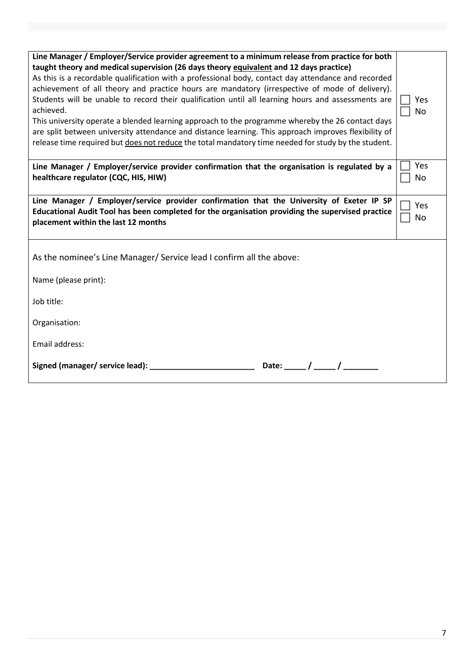| Line Manager / Employer/Service provider agreement to a minimum release from practice for both<br>taught theory and medical supervision (26 days theory equivalent and 12 days practice)<br>As this is a recordable qualification with a professional body, contact day attendance and recorded<br>achievement of all theory and practice hours are mandatory (irrespective of mode of delivery).<br>Students will be unable to record their qualification until all learning hours and assessments are<br>achieved.<br>This university operate a blended learning approach to the programme whereby the 26 contact days<br>are split between university attendance and distance learning. This approach improves flexibility of<br>release time required but does not reduce the total mandatory time needed for study by the student. |  |  |  |
|-----------------------------------------------------------------------------------------------------------------------------------------------------------------------------------------------------------------------------------------------------------------------------------------------------------------------------------------------------------------------------------------------------------------------------------------------------------------------------------------------------------------------------------------------------------------------------------------------------------------------------------------------------------------------------------------------------------------------------------------------------------------------------------------------------------------------------------------|--|--|--|
| Line Manager / Employer/service provider confirmation that the organisation is regulated by a<br>healthcare regulator (CQC, HIS, HIW)                                                                                                                                                                                                                                                                                                                                                                                                                                                                                                                                                                                                                                                                                                   |  |  |  |
| Line Manager / Employer/service provider confirmation that the University of Exeter IP SP<br>Educational Audit Tool has been completed for the organisation providing the supervised practice<br>placement within the last 12 months                                                                                                                                                                                                                                                                                                                                                                                                                                                                                                                                                                                                    |  |  |  |
| As the nominee's Line Manager/ Service lead I confirm all the above:                                                                                                                                                                                                                                                                                                                                                                                                                                                                                                                                                                                                                                                                                                                                                                    |  |  |  |
| Name (please print):                                                                                                                                                                                                                                                                                                                                                                                                                                                                                                                                                                                                                                                                                                                                                                                                                    |  |  |  |
| Job title:                                                                                                                                                                                                                                                                                                                                                                                                                                                                                                                                                                                                                                                                                                                                                                                                                              |  |  |  |
| Organisation:                                                                                                                                                                                                                                                                                                                                                                                                                                                                                                                                                                                                                                                                                                                                                                                                                           |  |  |  |
| Email address:                                                                                                                                                                                                                                                                                                                                                                                                                                                                                                                                                                                                                                                                                                                                                                                                                          |  |  |  |
| Signed (manager/ service lead):<br>Date:                                                                                                                                                                                                                                                                                                                                                                                                                                                                                                                                                                                                                                                                                                                                                                                                |  |  |  |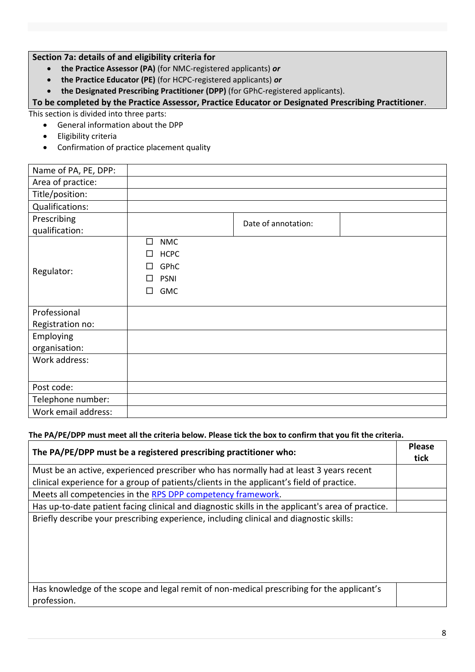# **Section 7a: details of and eligibility criteria for**

- **the Practice Assessor (PA)** (for NMC-registered applicants) *or*
- **the Practice Educator (PE)** (for HCPC-registered applicants) *or*

**the Designated Prescribing Practitioner (DPP)** (for GPhC-registered applicants).

**To be completed by the Practice Assessor, Practice Educator or Designated Prescribing Practitioner**.

This section is divided into three parts:

- General information about the DPP
- Eligibility criteria
- Confirmation of practice placement quality

| Name of PA, PE, DPP: |                      |                     |  |
|----------------------|----------------------|---------------------|--|
| Area of practice:    |                      |                     |  |
| Title/position:      |                      |                     |  |
| Qualifications:      |                      |                     |  |
| Prescribing          |                      | Date of annotation: |  |
| qualification:       |                      |                     |  |
|                      | $\Box$<br><b>NMC</b> |                     |  |
|                      | <b>HCPC</b><br>П     |                     |  |
| Regulator:           | GPhC<br>П            |                     |  |
|                      | <b>PSNI</b><br>П     |                     |  |
|                      | <b>GMC</b><br>п      |                     |  |
|                      |                      |                     |  |
| Professional         |                      |                     |  |
| Registration no:     |                      |                     |  |
| Employing            |                      |                     |  |
| organisation:        |                      |                     |  |
| Work address:        |                      |                     |  |
|                      |                      |                     |  |
| Post code:           |                      |                     |  |
| Telephone number:    |                      |                     |  |
| Work email address:  |                      |                     |  |

# **The PA/PE/DPP must meet all the criteria below. Please tick the box to confirm that you fit the criteria.**

| The PA/PE/DPP must be a registered prescribing practitioner who:                                         | <b>Please</b><br>tick |
|----------------------------------------------------------------------------------------------------------|-----------------------|
| Must be an active, experienced prescriber who has normally had at least 3 years recent                   |                       |
| clinical experience for a group of patients/clients in the applicant's field of practice.                |                       |
| Meets all competencies in the RPS DPP competency framework.                                              |                       |
| Has up-to-date patient facing clinical and diagnostic skills in the applicant's area of practice.        |                       |
| Briefly describe your prescribing experience, including clinical and diagnostic skills:                  |                       |
| Has knowledge of the scope and legal remit of non-medical prescribing for the applicant's<br>profession. |                       |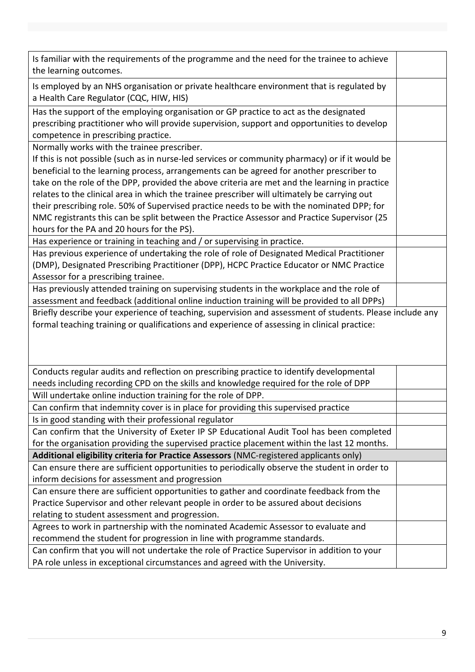| Is familiar with the requirements of the programme and the need for the trainee to achieve<br>the learning outcomes.                                                                                                        |  |
|-----------------------------------------------------------------------------------------------------------------------------------------------------------------------------------------------------------------------------|--|
| Is employed by an NHS organisation or private healthcare environment that is regulated by<br>a Health Care Regulator (CQC, HIW, HIS)                                                                                        |  |
| Has the support of the employing organisation or GP practice to act as the designated<br>prescribing practitioner who will provide supervision, support and opportunities to develop<br>competence in prescribing practice. |  |
| Normally works with the trainee prescriber.                                                                                                                                                                                 |  |
| If this is not possible (such as in nurse-led services or community pharmacy) or if it would be                                                                                                                             |  |
| beneficial to the learning process, arrangements can be agreed for another prescriber to                                                                                                                                    |  |
| take on the role of the DPP, provided the above criteria are met and the learning in practice                                                                                                                               |  |
| relates to the clinical area in which the trainee prescriber will ultimately be carrying out                                                                                                                                |  |
| their prescribing role. 50% of Supervised practice needs to be with the nominated DPP; for                                                                                                                                  |  |
| NMC registrants this can be split between the Practice Assessor and Practice Supervisor (25                                                                                                                                 |  |
| hours for the PA and 20 hours for the PS).                                                                                                                                                                                  |  |
| Has experience or training in teaching and / or supervising in practice.                                                                                                                                                    |  |
| Has previous experience of undertaking the role of role of Designated Medical Practitioner                                                                                                                                  |  |
| (DMP), Designated Prescribing Practitioner (DPP), HCPC Practice Educator or NMC Practice                                                                                                                                    |  |
| Assessor for a prescribing trainee.                                                                                                                                                                                         |  |
| Has previously attended training on supervising students in the workplace and the role of<br>assessment and feedback (additional online induction training will be provided to all DPPs)                                    |  |
| Briefly describe your experience of teaching, supervision and assessment of students. Please include any                                                                                                                    |  |
|                                                                                                                                                                                                                             |  |
|                                                                                                                                                                                                                             |  |
| formal teaching training or qualifications and experience of assessing in clinical practice:                                                                                                                                |  |
|                                                                                                                                                                                                                             |  |
|                                                                                                                                                                                                                             |  |
| Conducts regular audits and reflection on prescribing practice to identify developmental                                                                                                                                    |  |
| needs including recording CPD on the skills and knowledge required for the role of DPP                                                                                                                                      |  |
| Will undertake online induction training for the role of DPP.                                                                                                                                                               |  |
| Can confirm that indemnity cover is in place for providing this supervised practice                                                                                                                                         |  |
| Is in good standing with their professional regulator                                                                                                                                                                       |  |
| Can confirm that the University of Exeter IP SP Educational Audit Tool has been completed                                                                                                                                   |  |
| for the organisation providing the supervised practice placement within the last 12 months.                                                                                                                                 |  |
| Additional eligibility criteria for Practice Assessors (NMC-registered applicants only)                                                                                                                                     |  |
| Can ensure there are sufficient opportunities to periodically observe the student in order to                                                                                                                               |  |
| inform decisions for assessment and progression                                                                                                                                                                             |  |
| Can ensure there are sufficient opportunities to gather and coordinate feedback from the                                                                                                                                    |  |
| Practice Supervisor and other relevant people in order to be assured about decisions                                                                                                                                        |  |
| relating to student assessment and progression.                                                                                                                                                                             |  |
| Agrees to work in partnership with the nominated Academic Assessor to evaluate and                                                                                                                                          |  |
| recommend the student for progression in line with programme standards.                                                                                                                                                     |  |
| Can confirm that you will not undertake the role of Practice Supervisor in addition to your<br>PA role unless in exceptional circumstances and agreed with the University.                                                  |  |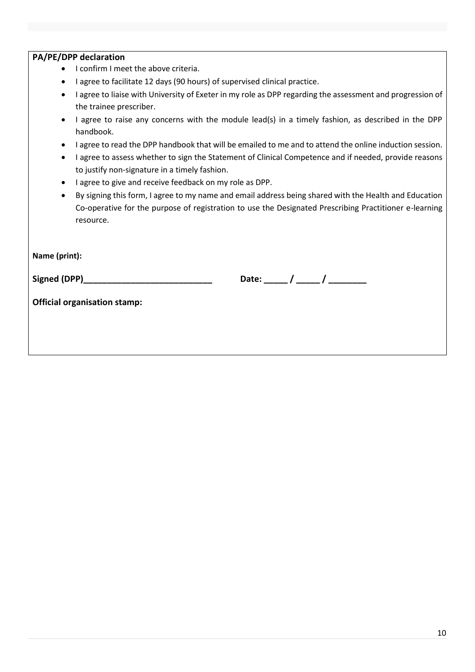- I confirm I meet the above criteria.
- I agree to facilitate 12 days (90 hours) of supervised clinical practice.
- I agree to liaise with University of Exeter in my role as DPP regarding the assessment and progression of the trainee prescriber.
- I agree to raise any concerns with the module lead(s) in a timely fashion, as described in the DPP handbook.
- I agree to read the DPP handbook that will be emailed to me and to attend the online induction session.
- I agree to assess whether to sign the Statement of Clinical Competence and if needed, provide reasons to justify non-signature in a timely fashion.
- I agree to give and receive feedback on my role as DPP.
- By signing this form, I agree to my name and email address being shared with the Health and Education Co-operative for the purpose of registration to use the Designated Prescribing Practitioner e-learning resource.

**Name (print):** 

**Signed (DPP)\_\_\_\_\_\_\_\_\_\_\_\_\_\_\_\_\_\_\_\_\_\_\_\_\_\_\_ Date: \_\_\_\_\_ / \_\_\_\_\_ / \_\_\_\_\_\_\_\_**

**Official organisation stamp:**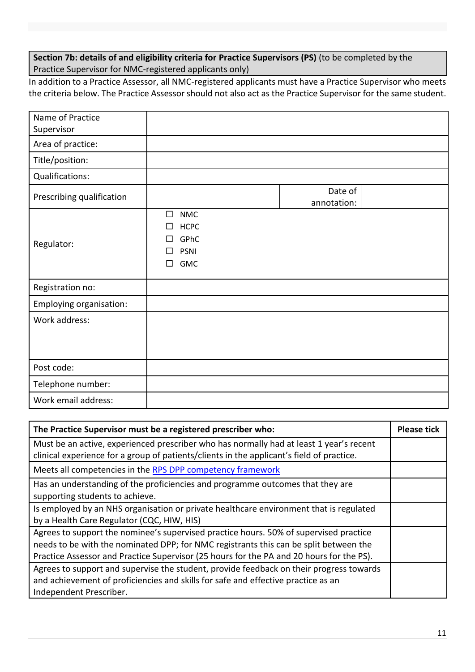**Section 7b: details of and eligibility criteria for Practice Supervisors (PS)** (to be completed by the Practice Supervisor for NMC-registered applicants only)

In addition to a Practice Assessor, all NMC-registered applicants must have a Practice Supervisor who meets the criteria below. The Practice Assessor should not also act as the Practice Supervisor for the same student.

| Name of Practice          |                                                                                              |                        |  |
|---------------------------|----------------------------------------------------------------------------------------------|------------------------|--|
| Supervisor                |                                                                                              |                        |  |
| Area of practice:         |                                                                                              |                        |  |
| Title/position:           |                                                                                              |                        |  |
| Qualifications:           |                                                                                              |                        |  |
| Prescribing qualification |                                                                                              | Date of<br>annotation: |  |
| Regulator:                | <b>NMC</b><br>$\Box$<br><b>HCPC</b><br>□<br>GPhC<br>П<br><b>PSNI</b><br>П<br><b>GMC</b><br>П |                        |  |
| Registration no:          |                                                                                              |                        |  |
| Employing organisation:   |                                                                                              |                        |  |
| Work address:             |                                                                                              |                        |  |
| Post code:                |                                                                                              |                        |  |
| Telephone number:         |                                                                                              |                        |  |
| Work email address:       |                                                                                              |                        |  |

| The Practice Supervisor must be a registered prescriber who:                                                                                                                                                                                                               | <b>Please tick</b> |
|----------------------------------------------------------------------------------------------------------------------------------------------------------------------------------------------------------------------------------------------------------------------------|--------------------|
| Must be an active, experienced prescriber who has normally had at least 1 year's recent<br>clinical experience for a group of patients/clients in the applicant's field of practice.                                                                                       |                    |
| Meets all competencies in the RPS DPP competency framework                                                                                                                                                                                                                 |                    |
| Has an understanding of the proficiencies and programme outcomes that they are<br>supporting students to achieve.                                                                                                                                                          |                    |
| Is employed by an NHS organisation or private healthcare environment that is regulated<br>by a Health Care Regulator (CQC, HIW, HIS)                                                                                                                                       |                    |
| Agrees to support the nominee's supervised practice hours. 50% of supervised practice<br>needs to be with the nominated DPP; for NMC registrants this can be split between the<br>Practice Assessor and Practice Supervisor (25 hours for the PA and 20 hours for the PS). |                    |
| Agrees to support and supervise the student, provide feedback on their progress towards<br>and achievement of proficiencies and skills for safe and effective practice as an<br>Independent Prescriber.                                                                    |                    |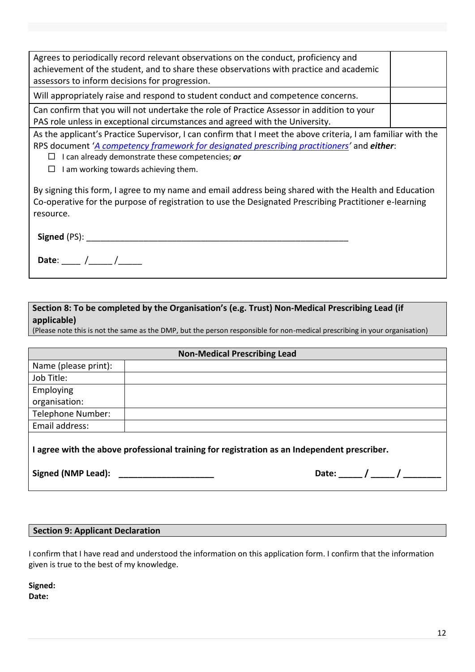| Agrees to periodically record relevant observations on the conduct, proficiency and<br>achievement of the student, and to share these observations with practice and academic |  |
|-------------------------------------------------------------------------------------------------------------------------------------------------------------------------------|--|
| assessors to inform decisions for progression.                                                                                                                                |  |
| Will appropriately raise and respond to student conduct and competence concerns.                                                                                              |  |
| Can confirm that you will not undertake the role of Practice Assessor in addition to your                                                                                     |  |
| PAS role unless in exceptional circumstances and agreed with the University.                                                                                                  |  |
| As the applicant's Practice Supervisor, I can confirm that I meet the above criteria, I am familiar with the                                                                  |  |
| RPS document 'A competency framework for designated prescribing practitioners' and either:                                                                                    |  |

I can already demonstrate these competencies; *or*

 $\Box$  I am working towards achieving them.

By signing this form, I agree to my name and email address being shared with the Health and Education Co-operative for the purpose of registration to use the Designated Prescribing Practitioner e-learning resource.

| Signed (PS): |  |
|--------------|--|
| Date:        |  |

# **Section 8: To be completed by the Organisation's (e.g. Trust) Non-Medical Prescribing Lead (if applicable)**

(Please note this is not the same as the DMP, but the person responsible for non-medical prescribing in your organisation)

| <b>Non-Medical Prescribing Lead</b>                                                       |             |  |
|-------------------------------------------------------------------------------------------|-------------|--|
| Name (please print):                                                                      |             |  |
| Job Title:                                                                                |             |  |
| Employing                                                                                 |             |  |
| organisation:                                                                             |             |  |
| Telephone Number:                                                                         |             |  |
| Email address:                                                                            |             |  |
| agree with the above professional training for registration as an Independent prescriber. |             |  |
| Signed (NMP Lead):                                                                        | Date: $/$ / |  |

## **Section 9: Applicant Declaration**

I confirm that I have read and understood the information on this application form. I confirm that the information given is true to the best of my knowledge.

**Signed: Date:**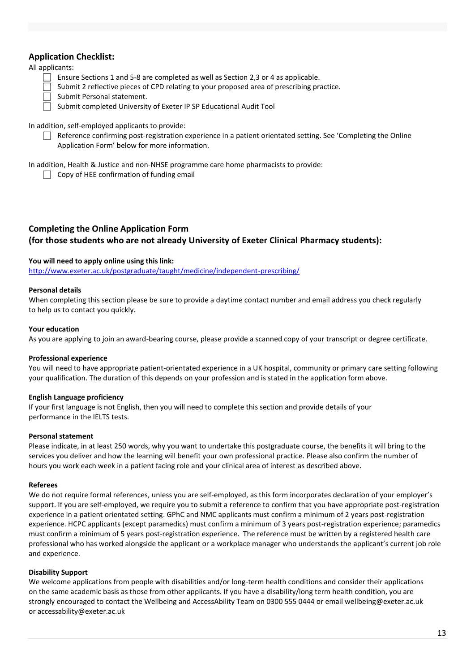# **Application Checklist:**

## All applicants:

- Ensure Sections 1 and 5-8 are completed as well as Section 2,3 or 4 as applicable.
- Submit 2 reflective pieces of CPD relating to your proposed area of prescribing practice.
- Submit Personal statement.
- Submit completed University of Exeter IP SP Educational Audit Tool

## In addition, self-employed applicants to provide:

 $\Box$  Reference confirming post-registration experience in a patient orientated setting. See 'Completing the Online Application Form' below for more information.

In addition, Health & Justice and non-NHSE programme care home pharmacists to provide:

 $\Box$  Copy of HEE confirmation of funding email

# **Completing the Online Application Form (for those students who are not already University of Exeter Clinical Pharmacy students):**

## **You will need to apply online using this link:**

<http://www.exeter.ac.uk/postgraduate/taught/medicine/independent-prescribing/>

## **Personal details**

When completing this section please be sure to provide a daytime contact number and email address you check regularly to help us to contact you quickly.

### **Your education**

As you are applying to join an award-bearing course, please provide a scanned copy of your transcript or degree certificate.

### **Professional experience**

You will need to have appropriate patient-orientated experience in a UK hospital, community or primary care setting following your qualification. The duration of this depends on your profession and is stated in the application form above.

### **English Language proficiency**

If your first language is not English, then you will need to complete this section and provide details of your performance in the IELTS tests.

### **Personal statement**

Please indicate, in at least 250 words, why you want to undertake this postgraduate course, the benefits it will bring to the services you deliver and how the learning will benefit your own professional practice. Please also confirm the number of hours you work each week in a patient facing role and your clinical area of interest as described above.

### **Referees**

We do not require formal references, unless you are self-employed, as this form incorporates declaration of your employer's support. If you are self-employed, we require you to submit a reference to confirm that you have appropriate post-registration experience in a patient orientated setting. GPhC and NMC applicants must confirm a minimum of 2 years post-registration experience. HCPC applicants (except paramedics) must confirm a minimum of 3 years post-registration experience; paramedics must confirm a minimum of 5 years post-registration experience. The reference must be written by a registered health care professional who has worked alongside the applicant or a workplace manager who understands the applicant's current job role and experience.

### **Disability Support**

We welcome applications from people with disabilities and/or long-term health conditions and consider their applications on the same academic basis as those from other applicants. If you have a disability/long term health condition, you are strongly encouraged to contact the Wellbeing and AccessAbility Team on 0300 555 0444 or email wellbeing@exeter.ac.uk or accessability@exeter.ac.uk